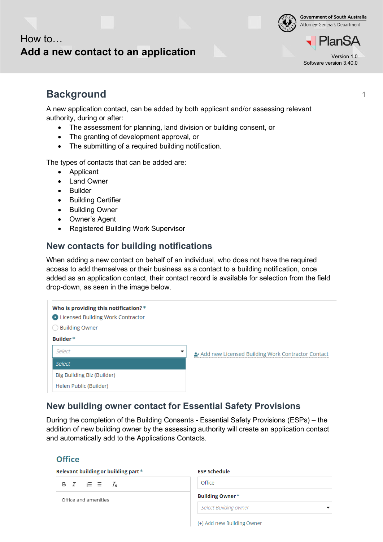**Government of South Australia** Attorney-General's Department

### **Add a new contact to an application**

Software version 3.40.0

lan:

### **Background**

How to…

A new application contact, can be added by both applicant and/or assessing relevant authority, during or after:

- The assessment for planning, land division or building consent, or
- The granting of development approval, or
- The submitting of a required building notification.

The types of contacts that can be added are:

- Applicant
- Land Owner
- Builder

**Office** 

- Building Certifier
- Building Owner
- Owner's Agent
- Registered Building Work Supervisor

### **New contacts for building notifications**

When adding a new contact on behalf of an individual, who does not have the required access to add themselves or their business as a contact to a building notification, once added as an application contact, their contact record is available for selection from the field drop-down, as seen in the image below.

|             | Who is providing this notification?*<br>C Licensed Building Work Contractor<br><b>Building Owner</b> |                                                   |  |
|-------------|------------------------------------------------------------------------------------------------------|---------------------------------------------------|--|
| Builder $*$ |                                                                                                      |                                                   |  |
|             | Select                                                                                               | Add new Licensed Building Work Contractor Contact |  |
|             | Select                                                                                               |                                                   |  |
|             | Big Building Biz (Builder)                                                                           |                                                   |  |
|             | Helen Public (Builder)                                                                               |                                                   |  |

### **New building owner contact for Essential Safety Provisions**

During the completion of the Building Consents - Essential Safety Provisions (ESPs) – the addition of new building owner by the assessing authority will create an application contact and automatically add to the Applications Contacts.

| Relevant building or building part $*$ | <b>ESP Schedule</b>        |
|----------------------------------------|----------------------------|
| B $I \equiv \equiv I_x$                | Office                     |
| Office and amenities                   | Building Owner*            |
|                                        | Select Building owner      |
|                                        | (+) Add new Building Owner |

1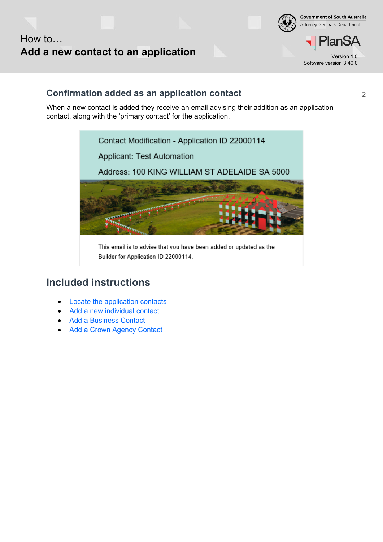



'lanSA Software version 3.40.0

2

### **Confirmation added as an application contact**

When a new contact is added they receive an email advising their addition as an application contact, along with the 'primary contact' for the application.



This email is to advise that you have been added or updated as the Builder for Application ID 22000114.

### **Included instructions**

- [Locate the application contacts](#page-2-0)
- [Add a new individual](#page-3-0) contact
- [Add a Business Contact](#page-6-0)
- [Add a Crown Agency Contact](#page-7-0)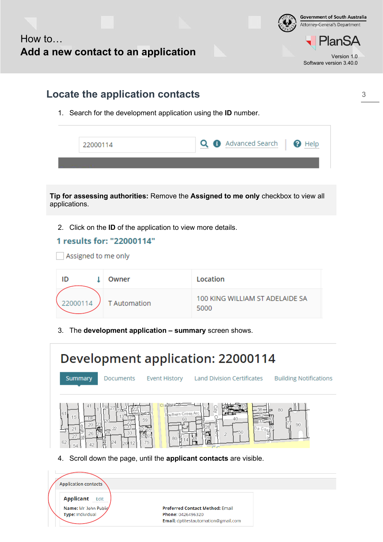

3

<span id="page-2-0"></span>

|                                                                                                                                           |          |                     | Locate the application contacts | 1. Search for the development application using the ID number. |  |
|-------------------------------------------------------------------------------------------------------------------------------------------|----------|---------------------|---------------------------------|----------------------------------------------------------------|--|
|                                                                                                                                           | 22000114 |                     |                                 | Advanced Search<br>Q<br><b>O</b> Help                          |  |
| Tip for assessing authorities: Remove the Assigned to me only checkbox to view all<br>applications.                                       |          |                     |                                 |                                                                |  |
| 2. Click on the <b>ID</b> of the application to view more details.<br>1 results for: "22000114"<br>Assigned to me only                    |          |                     |                                 |                                                                |  |
| ID                                                                                                                                        | T        | Owner               |                                 | Location                                                       |  |
|                                                                                                                                           | 22000114 | <b>T</b> Automation |                                 | 100 KING WILLIAM ST ADELAIDE SA<br>5000                        |  |
| The development application - summary screen shows.<br>3.                                                                                 |          |                     |                                 |                                                                |  |
| Development application: 22000114<br>Land Division Certificates<br><b>Building Notifications</b><br>Summary<br>Documents<br>Event History |          |                     |                                 |                                                                |  |



4. Scroll down the page, until the **applicant contacts** are visible.

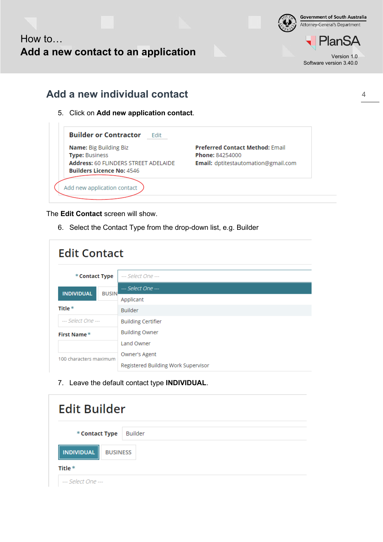

#### **Government of South Australia** Attorney-General's Department

**PlanSA** Software version 3.40.0

### <span id="page-3-0"></span>**Add a new individual contact**

5. Click on **Add new application contact**.

| Name: Big Building Biz                      | <b>Preferred Contact Method: Email</b> |
|---------------------------------------------|----------------------------------------|
| <b>Type: Business</b>                       | <b>Phone: 84254000</b>                 |
| <b>Address: 60 FLINDERS STREET ADELAIDE</b> | Email: dptitestautomation@gmail.com    |
| <b>Builders Licence No: 4546</b>            |                                        |
|                                             |                                        |

The **Edit Contact** screen will show.

 $\mathbb{L}$ 

6. Select the Contact Type from the drop-down list, e.g. Builder

| <b>Edit Contact</b>    |              |                                                      |
|------------------------|--------------|------------------------------------------------------|
| * Contact Type         |              | --- Select One ---                                   |
| <b>INDIVIDUAL</b>      | <b>BUSIN</b> | --- Select One ---                                   |
|                        |              | Applicant                                            |
| Title $*$              |              | <b>Builder</b>                                       |
| --- Select One ---     |              | <b>Building Certifier</b>                            |
| First Name*            |              | <b>Building Owner</b>                                |
|                        |              | Land Owner                                           |
| 100 characters maximum |              | Owner's Agent<br>Registered Building Work Supervisor |

7. Leave the default contact type **INDIVIDUAL**.

| <b>Edit Builder</b>                  |         |  |
|--------------------------------------|---------|--|
| * Contact Type                       | Builder |  |
| <b>INDIVIDUAL</b><br><b>BUSINESS</b> |         |  |
| Title $*$                            |         |  |
| --- Select One ---                   |         |  |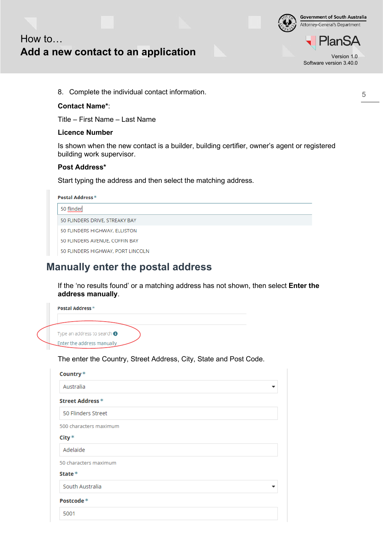

### How to… **Add a new contact to an application**

lan' Software version 3.40.0

8. Complete the individual contact information.

#### **Contact Name\***:

Title – First Name – Last Name

#### **Licence Number**

Is shown when the new contact is a builder, building certifier, owner's agent or registered building work supervisor.

#### **Post Address\***

Start typing the address and then select the matching address.

| Postal Address *                  |  |  |  |
|-----------------------------------|--|--|--|
| 50 flinder                        |  |  |  |
| 50 FLINDERS DRIVE, STREAKY BAY    |  |  |  |
| 50 FLINDERS HIGHWAY, ELLISTON     |  |  |  |
| 50 FLINDERS AVENUE, COFFIN BAY    |  |  |  |
| 50 FLINDERS HIGHWAY, PORT LINCOLN |  |  |  |

### <span id="page-4-0"></span>**Manually enter the postal address**

If the 'no results found' or a matching address has not shown, then select **Enter the address manually**.

| Postal Address *                     |
|--------------------------------------|
|                                      |
| Type an address to search $\bigcirc$ |
| Enter the address manually           |

The enter the Country, Street Address, City, State and Post Code.

| Country*               |
|------------------------|
| Australia              |
| Street Address *       |
| 50 Flinders Street     |
| 500 characters maximum |
| $City*$                |
| Adelaide               |
| 50 characters maximum  |
| State $*$              |
| South Australia        |
| Postcode*              |
| 5001                   |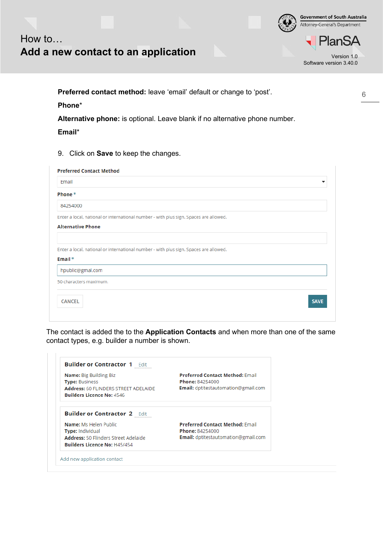

## How to… **Add a new contact to an application**

PlanSA Software version 3.40.0

**Preferred contact method:** leave 'email' default or change to 'post'.

#### **Phone**\*

**Alternative phone:** is optional. Leave blank if no alternative phone number.

**Email**\*

9. Click on **Save** to keep the changes.

| <b>Preferred Contact Method</b>                                                       |             |
|---------------------------------------------------------------------------------------|-------------|
| Email                                                                                 |             |
| Phone $*$                                                                             |             |
| 84254000                                                                              |             |
| Enter a local, national or international number - with plus sign. Spaces are allowed. |             |
| <b>Alternative Phone</b>                                                              |             |
|                                                                                       |             |
| Enter a local, national or international number - with plus sign. Spaces are allowed. |             |
| Email $*$                                                                             |             |
| hpublic@gmal.com                                                                      |             |
| 50 characters maximum.                                                                |             |
|                                                                                       |             |
| <b>CANCEL</b>                                                                         | <b>SAVE</b> |
|                                                                                       |             |

The contact is added the to the **Application Contacts** and when more than one of the same contact types, e.g. builder a number is shown.

| <b>Name:</b> Big Building Biz<br><b>Type: Business</b>                          | <b>Preferred Contact Method: Email</b><br>Phone: 84254000            |
|---------------------------------------------------------------------------------|----------------------------------------------------------------------|
| <b>Address: 60 FLINDERS STREET ADELAIDE</b><br><b>Builders Licence No: 4546</b> | <b>Email:</b> dptitestautomation@gmail.com                           |
|                                                                                 |                                                                      |
| <b>Builder or Contractor 2 Fdit</b>                                             |                                                                      |
| Name: Ms Helen Public                                                           | <b>Preferred Contact Method: Email</b>                               |
| <b>Type: Individual</b><br><b>Address: 50 Flinders Street Adelaide</b>          | <b>Phone: 84254000</b><br><b>Email:</b> dptitestautomation@gmail.com |

6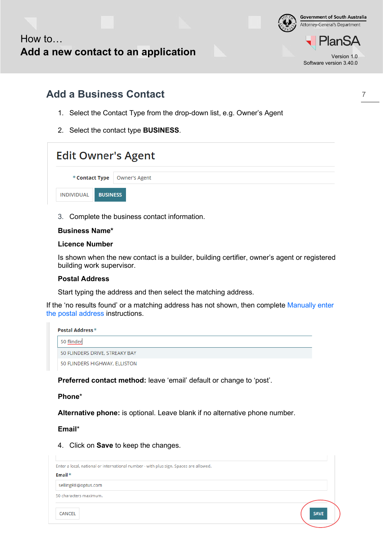

Attorney-General's Department lan:

**Government of South Australia** 

Software version 3.40.0

7

### <span id="page-6-0"></span>**Add a Business Contact**

- 1. Select the Contact Type from the drop-down list, e.g. Owner's Agent
- 2. Select the contact type **BUSINESS**.

| <b>Edit Owner's Agent</b>      |  |  |
|--------------------------------|--|--|
| * Contact Type   Owner's Agent |  |  |
| INDIVIDUAL BUSINESS            |  |  |

3. Complete the business contact information.

#### **Business Name\***

#### **Licence Number**

Is shown when the new contact is a builder, building certifier, owner's agent or registered building work supervisor.

#### **Postal Address**

Start typing the address and then select the matching address.

If the 'no results found' or a matching address has not shown, then complete [Manually enter](#page-4-0)  [the postal address](#page-4-0) instructions.

| <b>Postal Address</b> *        |  |  |  |  |  |
|--------------------------------|--|--|--|--|--|
| 50 flinder                     |  |  |  |  |  |
| 50 FLINDERS DRIVE, STREAKY BAY |  |  |  |  |  |
| 50 FLINDERS HIGHWAY, ELLISTON  |  |  |  |  |  |

**Preferred contact method:** leave 'email' default or change to 'post'.

#### **Phone**\*

**Alternative phone:** is optional. Leave blank if no alternative phone number.

**Email**\*

4. Click on **Save** to keep the changes.

| Enter a local, national or international number - with plus sign. Spaces are allowed. |             |
|---------------------------------------------------------------------------------------|-------------|
| Email $*$                                                                             |             |
| sellingRE@optus.com                                                                   |             |
| 50 characters maximum.                                                                |             |
| <b>CANCEL</b>                                                                         | <b>SAVE</b> |